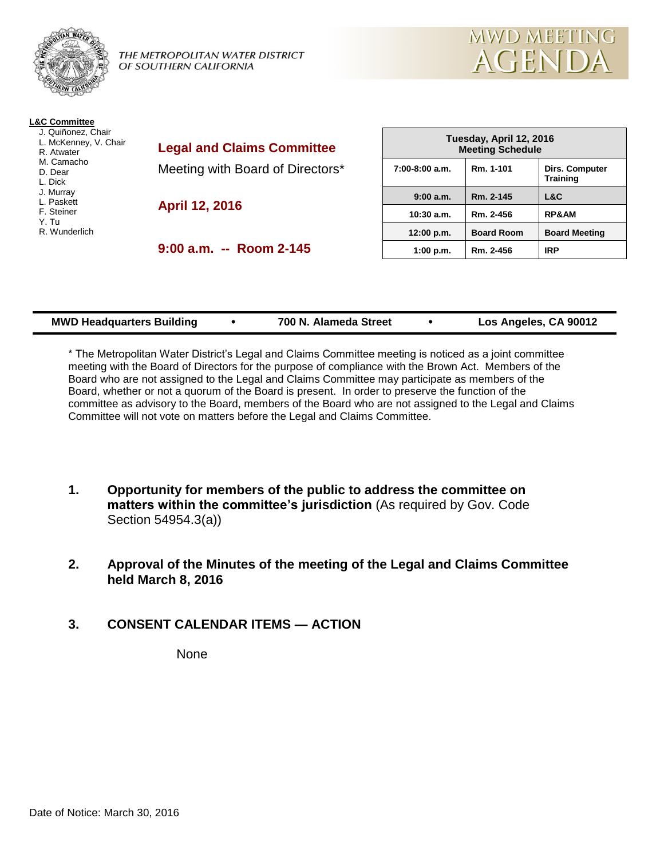

THE METROPOLITAN WATER DISTRICT OF SOUTHERN CALIFORNIA



J. Quiñonez, Chair L. McKenney, V. Chair R. Atwater M. Camacho D. Dear L. Dick J. Murray L. Paskett F. Steiner

Y. Tu

R. Wunderlich

**Legal and Claims Committee** Meeting with Board of Directors\*

**April 12, 2016**

**9:00 a.m. -- Room 2-145**

| Tuesday, April 12, 2016<br><b>Meeting Schedule</b> |                   |                                          |  |  |
|----------------------------------------------------|-------------------|------------------------------------------|--|--|
| $7:00-8:00$ a.m.                                   | Rm. 1-101         | <b>Dirs. Computer</b><br><b>Training</b> |  |  |
| 9:00 a.m.                                          | Rm. 2-145         | L&C                                      |  |  |
| 10:30a.m.                                          | Rm. 2-456         | <b>RP&amp;AM</b>                         |  |  |
| 12:00 p.m.                                         | <b>Board Room</b> | <b>Board Meeting</b>                     |  |  |
| 1:00 p.m.                                          | Rm. 2-456         | <b>IRP</b>                               |  |  |

**MWD MEETING** 

AGENDA

| <b>MWD Headquarters Building</b> |  | 700 N. Alameda Street |  | Los Angeles, CA 90012 |
|----------------------------------|--|-----------------------|--|-----------------------|
|----------------------------------|--|-----------------------|--|-----------------------|

\* The Metropolitan Water District's Legal and Claims Committee meeting is noticed as a joint committee meeting with the Board of Directors for the purpose of compliance with the Brown Act. Members of the Board who are not assigned to the Legal and Claims Committee may participate as members of the Board, whether or not a quorum of the Board is present. In order to preserve the function of the committee as advisory to the Board, members of the Board who are not assigned to the Legal and Claims Committee will not vote on matters before the Legal and Claims Committee.

- **1. Opportunity for members of the public to address the committee on matters within the committee's jurisdiction** (As required by Gov. Code Section 54954.3(a))
- **2. Approval of the Minutes of the meeting of the Legal and Claims Committee held March 8, 2016**
- **3. CONSENT CALENDAR ITEMS — ACTION**

None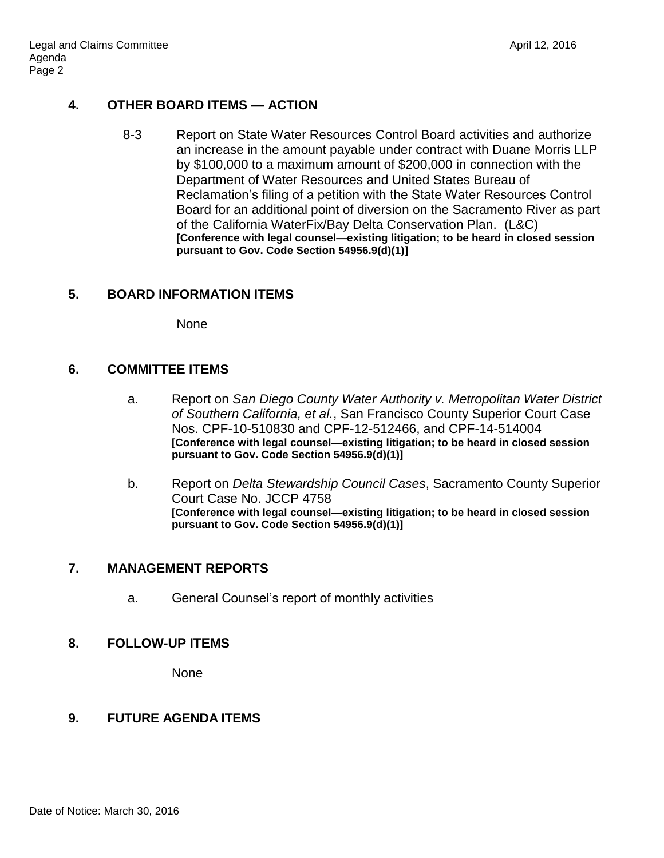# **4. OTHER BOARD ITEMS — ACTION**

8-3 Report on State Water Resources Control Board activities and authorize an increase in the amount payable under contract with Duane Morris LLP by \$100,000 to a maximum amount of \$200,000 in connection with the Department of Water Resources and United States Bureau of Reclamation's filing of a petition with the State Water Resources Control Board for an additional point of diversion on the Sacramento River as part of the California WaterFix/Bay Delta Conservation Plan. (L&C) **[Conference with legal counsel—existing litigation; to be heard in closed session pursuant to Gov. Code Section 54956.9(d)(1)]**

## **5. BOARD INFORMATION ITEMS**

None

## **6. COMMITTEE ITEMS**

- a. Report on *San Diego County Water Authority v. Metropolitan Water District of Southern California, et al.*, San Francisco County Superior Court Case Nos. CPF-10-510830 and CPF-12-512466, and CPF-14-514004 **[Conference with legal counsel—existing litigation; to be heard in closed session pursuant to Gov. Code Section 54956.9(d)(1)]**
- b. Report on *Delta Stewardship Council Cases*, Sacramento County Superior Court Case No. JCCP 4758 **[Conference with legal counsel—existing litigation; to be heard in closed session pursuant to Gov. Code Section 54956.9(d)(1)]**

## **7. MANAGEMENT REPORTS**

a. General Counsel's report of monthly activities

## **8. FOLLOW-UP ITEMS**

None

## **9. FUTURE AGENDA ITEMS**